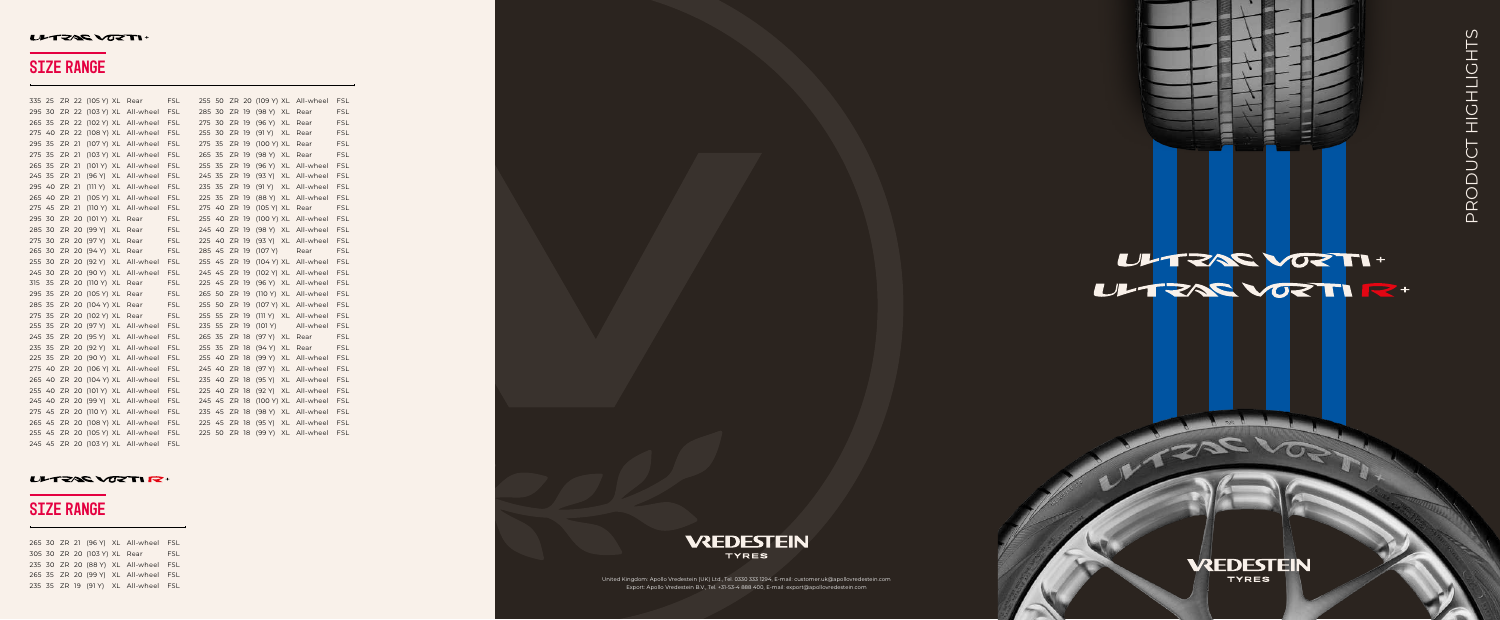|              |      |       | 335 25 ZR 22 (105 Y) XL Rear |                                   | <b>FSL</b> |              |       |                     |    | 255 50 ZR 20 (109 Y) XL All-wheel | <b>FSL</b> |
|--------------|------|-------|------------------------------|-----------------------------------|------------|--------------|-------|---------------------|----|-----------------------------------|------------|
|              |      |       |                              | 295 30 ZR 22 (103 Y) XL All-wheel | <b>FSL</b> | 285 30 ZR 19 |       | (98 Y) XL Rear      |    |                                   | <b>FSL</b> |
| 265 35       |      |       |                              | ZR 22 (102 Y) XL All-wheel        | <b>FSL</b> | 275 30 ZR 19 |       | $(96 \text{ Y})$ XL |    | Rear                              | <b>FSL</b> |
|              |      |       |                              | 275 40 ZR 22 (108 Y) XL All-wheel | <b>FSL</b> | 255 30 ZR 19 |       | (91 Y)              |    | XL Rear                           | <b>FSL</b> |
| 295 35       |      | ZR 21 |                              | (107 Y) XL All-wheel              | <b>FSL</b> | 275 35       | ZR 19 | (100 Y) XL          |    | Rear                              | <b>FSL</b> |
| 275 35       |      | ZR 21 |                              | (103 Y) XL All-wheel              | <b>FSL</b> | 265 35       | ZR 19 | $(98 \text{ Y})$ XL |    | Rear                              | <b>FSL</b> |
| 265 35       |      | ZR 21 |                              | (101 Y) XL All-wheel              | <b>FSL</b> | 255 35       | ZR 19 |                     |    | (96 Y) XL All-wheel               | <b>FSL</b> |
| 245 35       |      | ZR 21 |                              | (96 Y) XL All-wheel               | <b>FSL</b> | 245 35       | ZR 19 |                     |    | (93 Y) XL All-wheel               | <b>FSL</b> |
| 295 40 ZR 21 |      |       |                              | (111 Y) XL All-wheel              | <b>FSL</b> | 235 35       | ZR 19 | (91 Y)              |    | XL All-wheel                      | <b>FSL</b> |
| 265 40 ZR 21 |      |       |                              | (105 Y) XL All-wheel              | <b>FSL</b> | 225 35       | ZR 19 |                     |    | (88 Y) XL All-wheel               | <b>FSL</b> |
| 275 45 ZR 21 |      |       |                              | (110 Y) XL All-wheel              | <b>FSL</b> | 275 40 ZR 19 |       | (105 Y) XL Rear     |    |                                   | <b>FSL</b> |
|              |      |       | 295 30 ZR 20 (101 Y) XL      | Rear                              | <b>FSL</b> | 255 40 ZR 19 |       |                     |    | (100 Y) XL All-wheel              | FSL        |
|              |      |       | 285 30 ZR 20 (99 Y) XL       | Rear                              | <b>FSL</b> | 245 40 ZR 19 |       |                     |    | (98 Y) XL All-wheel               | <b>FSL</b> |
|              |      |       | 275 30 ZR 20 (97 Y) XL Rear  |                                   | <b>FSL</b> |              |       |                     |    | 225 40 ZR 19 (93 Y) XL All-wheel  | <b>FSL</b> |
|              |      |       | 265 30 ZR 20 (94 Y) XL       | Rear                              | <b>FSL</b> | 285 45 ZR 19 |       | (107 Y)             |    | Rear                              | <b>FSL</b> |
|              |      |       | 255 30 ZR 20 (92 Y) XL       | All-wheel                         | <b>FSL</b> | 255 45 ZR 19 |       |                     |    | $(104 \text{ Y})$ XL All-wheel    | <b>FSL</b> |
|              |      |       |                              | 245 30 ZR 20 (90 Y) XL All-wheel  | <b>FSL</b> | 245 45 ZR 19 |       |                     |    | (102 Y) XL All-wheel              | <b>FSL</b> |
| 315          | - 35 |       | ZR 20 (110 Y) XL             | Rear                              | <b>FSL</b> | 225 45 ZR 19 |       |                     |    | (96 Y) XL All-wheel               | <b>FSL</b> |
| 295 35       |      |       | ZR 20 (105 Y) XL             | Rear                              | <b>FSL</b> | 265 50 ZR 19 |       |                     |    | (110 Y) XL All-wheel              | FSL        |
| 285 35       |      |       | ZR 20 (104 Y) XL             | Rear                              | <b>FSL</b> | 255 50 ZR 19 |       |                     |    | (107 Y) XL All-wheel              | <b>FSL</b> |
| 275 35       |      |       | ZR 20 (102 Y) XL Rear        |                                   | <b>FSL</b> | 255 55       | ZR 19 |                     |    | (111 Y) XL All-wheel              | <b>FSL</b> |
| 255 35       |      |       |                              | ZR 20 (97 Y) XL All-wheel         | <b>FSL</b> | 235 55       | ZR 19 | (101 Y)             |    | All-wheel                         | <b>FSL</b> |
| 245 35       |      |       | ZR 20 (95 Y) XL              | All-wheel                         | <b>FSL</b> | 265 35       | ZR 18 | (97 Y) XL Rear      |    |                                   | <b>FSL</b> |
| 235 35       |      |       |                              | ZR 20 (92 Y) XL All-wheel         | <b>FSL</b> | 255 35       | ZR 18 | (94 Y)              | XL | Rear                              | <b>FSL</b> |
| 225 35       |      |       |                              | ZR 20 (90 Y) XL All-wheel         | <b>FSL</b> |              |       |                     |    | 255 40 ZR 18 (99 Y) XL All-wheel  | <b>FSL</b> |
|              |      |       |                              | 275 40 ZR 20 (106 Y) XL All-wheel | <b>FSL</b> | 245 40 ZR 18 |       |                     |    | (97 Y) XL All-wheel               | <b>FSL</b> |
|              |      |       |                              | 265 40 ZR 20 (104 Y) XL All-wheel | <b>FSL</b> | 235 40 ZR 18 |       | (95 Y)              |    | XL All-wheel                      | <b>FSL</b> |
|              |      |       |                              | 255 40 ZR 20 (101 Y) XL All-wheel | <b>FSL</b> | 225 40 ZR 18 |       |                     |    | (92 Y) XL All-wheel               | <b>FSL</b> |
|              |      |       |                              | 245 40 ZR 20 (99 Y) XL All-wheel  | <b>FSL</b> | 245 45 ZR 18 |       |                     |    | (100 Y) XL All-wheel              | <b>FSL</b> |
|              |      |       |                              | 275 45 ZR 20 (110 Y) XL All-wheel | <b>FSL</b> | 235 45 ZR 18 |       |                     |    | (98 Y) XL All-wheel               | <b>FSL</b> |
|              |      |       |                              | 265 45 ZR 20 (108 Y) XL All-wheel | <b>FSL</b> | 225 45 ZR 18 |       |                     |    | (95 Y) XL All-wheel               | <b>FSL</b> |
|              |      |       |                              | 255 45 ZR 20 (105 Y) XL All-wheel | <b>FSL</b> |              |       |                     |    | 225 50 ZR 18 (99 Y) XL All-wheel  | <b>FSL</b> |
|              |      |       |                              | 245 45 ZR 20 (103 Y) XL All-wheel | <b>FSL</b> |              |       |                     |    |                                   |            |

### ULTZAE VOZTI R+

# ULTZAS VOZTI +

# **VREDESTEIN**

**TYRES** 

W ZAS W

 30 ZR 21 (96 Y) XL All-wheel FSL 305 30 ZR 20 (103 Y) XL Rear FSL 30 ZR 20 (88 Y) XL All-wheel FSL 35 ZR 20 (99 Y) XL All-wheel FSL 35 ZR 19 (91 Y) XL All-wheel FSL



United Kingdom: Apollo Vredestein (UK) Ltd., Tel. 0330 333 1294, E-mail: customer.uk@apollovredestein.com Export: Apollo Vredestein B.V., Tel. +31-53-4 888 400, E-mail: export@apollovredestein.com

### ULTZAR VOZTI+

# SIZE RANGE

### SIZE RANGE